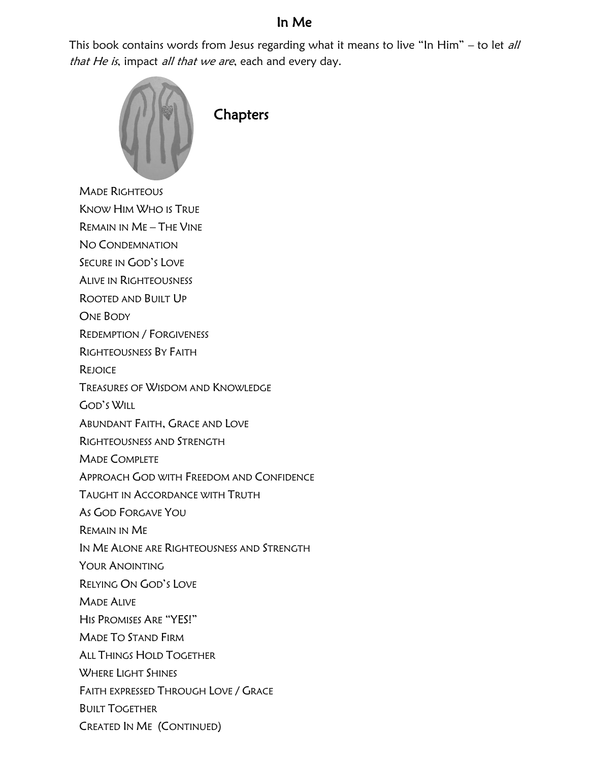## In Me

This book contains words from Jesus regarding what it means to live "In Him" – to let all that He is, impact all that we are, each and every day.



**Chapters** 

MADE RIGHTEOUS

KNOW HIM WHO IS TRUE

REMAIN IN ME – THE VINE

NO CONDEMNATION

SECURE IN GOD'S LOVE

ALIVE IN RIGHTEOUSNESS

ROOTED AND BUILT UP

ONE BODY

REDEMPTION / FORGIVENESS

RIGHTEOUSNESS BY FAITH

**REJOICE** 

TREASURES OF WISDOM AND KNOWLEDGE

GOD'S WILL

ABUNDANT FAITH, GRACE AND LOVE

RIGHTEOUSNESS AND STRENGTH

MADE COMPLETE

APPROACH GOD WITH FREEDOM AND CONFIDENCE

TAUGHT IN ACCORDANCE WITH TRUTH

AS GOD FORGAVE YOU

REMAIN IN ME

IN ME ALONE ARE RIGHTEOUSNESS AND STRENGTH

YOUR ANOINTING

RELYING ON GOD'S LOVE

MADE ALIVE

HIS PROMISES ARE "YES!"

MADE TO STAND FIRM

ALL THINGS HOLD TOGETHER

WHERE LIGHT SHINES

FAITH EXPRESSED THROUGH LOVE / GRACE

BUILT TOGETHER

CREATED IN ME (CONTINUED)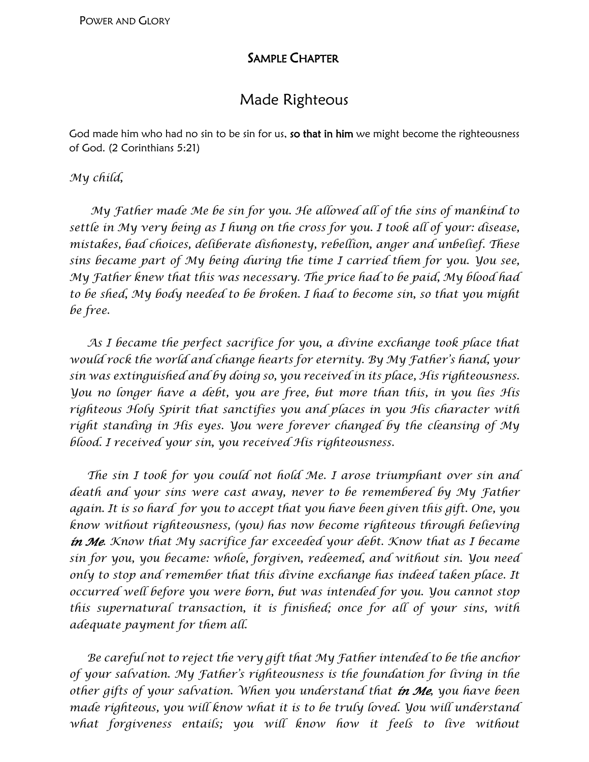## SAMPLE CHAPTER

# Made Righteous

God made him who had no sin to be sin for us, so that in him we might become the righteousness of God. (2 Corinthians 5:21)

#### *My child,*

 *My Father made Me be sin for you. He allowed all of the sins of mankind to settle in My very being as I hung on the cross for you. I took all of your: disease, mistakes, bad choices, deliberate dishonesty, rebellion, anger and unbelief. These sins became part of My being during the time I carried them for you. You see, My Father knew that this was necessary. The price had to be paid, My blood had to be shed, My body needed to be broken. I had to become sin, so that you might be free.* 

As I became the perfect sacrifice for you, a divine exchange took place that *would rock the world and change hearts for eternity. By My Father's hand, your sin was extinguished and by doing so, you received in its place, His righteousness. You no longer have a debt, you are free, but more than this, in you lies His righteous Holy Spirit that sanctifies you and places in you His character with right standing in His eyes. You were forever changed by the cleansing of My blood. I received your sin, you received His righteousness.*

 *The sin I took for you could not hold Me. I arose triumphant over sin and death and your sins were cast away, never to be remembered by My Father again. It is so hard for you to accept that you have been given this gift. One, you know without righteousness, (you) has now become righteous through believing in Me. Know that My sacrifice far exceeded your debt. Know that as I became sin for you, you became: whole, forgiven, redeemed, and without sin. You need only to stop and remember that this divine exchange has indeed taken place. It occurred well before you were born, but was intended for you. You cannot stop this supernatural transaction, it is finished; once for all of your sins, with adequate payment for them all.*

 *Be careful not to reject the very gift that My Father intended to be the anchor of your salvation. My Father's righteousness is the foundation for living in the other gifts of your salvation. When you understand that in Me, you have been made righteous, you will know what it is to be truly loved. You will understand what forgiveness entails; you will know how it feels to live without*